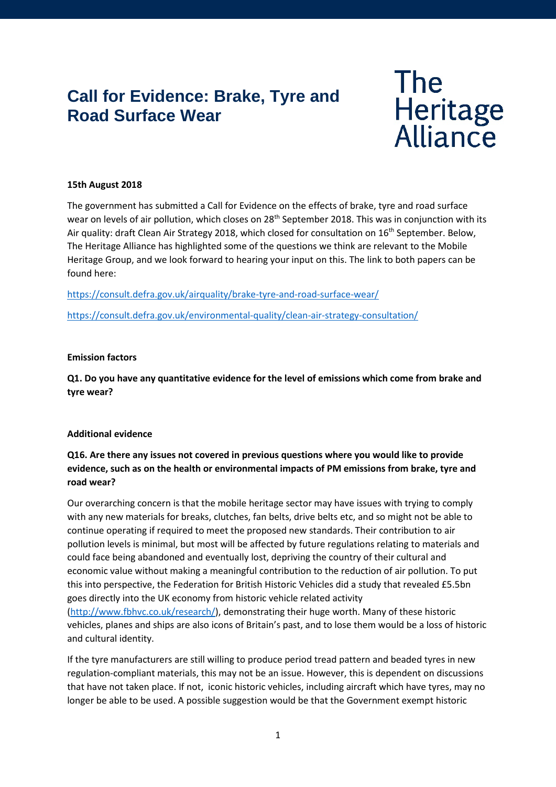# **Call for Evidence: Brake, Tyre and Road Surface Wear**

# The<br>Heritage<br>Alliance

### **15th August 2018**

The government has submitted a Call for Evidence on the effects of brake, tyre and road surface wear on levels of air pollution, which closes on 28<sup>th</sup> September 2018. This was in conjunction with its Air quality: draft Clean Air Strategy 2018, which closed for consultation on 16<sup>th</sup> September. Below, The Heritage Alliance has highlighted some of the questions we think are relevant to the Mobile Heritage Group, and we look forward to hearing your input on this. The link to both papers can be found here:

<https://consult.defra.gov.uk/airquality/brake-tyre-and-road-surface-wear/>

<https://consult.defra.gov.uk/environmental-quality/clean-air-strategy-consultation/>

### **Emission factors**

**Q1. Do you have any quantitative evidence for the level of emissions which come from brake and tyre wear?**

### **Additional evidence**

## **Q16. Are there any issues not covered in previous questions where you would like to provide evidence, such as on the health or environmental impacts of PM emissions from brake, tyre and road wear?**

Our overarching concern is that the mobile heritage sector may have issues with trying to comply with any new materials for breaks, clutches, fan belts, drive belts etc, and so might not be able to continue operating if required to meet the proposed new standards. Their contribution to air pollution levels is minimal, but most will be affected by future regulations relating to materials and could face being abandoned and eventually lost, depriving the country of their cultural and economic value without making a meaningful contribution to the reduction of air pollution. To put this into perspective, the Federation for British Historic Vehicles did a study that revealed £5.5bn goes directly into the UK economy from historic vehicle related activity [\(http://www.fbhvc.co.uk/research/\)](http://www.fbhvc.co.uk/research/), demonstrating their huge worth. Many of these historic vehicles, planes and ships are also icons of Britain's past, and to lose them would be a loss of historic and cultural identity.

If the tyre manufacturers are still willing to produce period tread pattern and beaded tyres in new regulation-compliant materials, this may not be an issue. However, this is dependent on discussions that have not taken place. If not, iconic historic vehicles, including aircraft which have tyres, may no longer be able to be used. A possible suggestion would be that the Government exempt historic